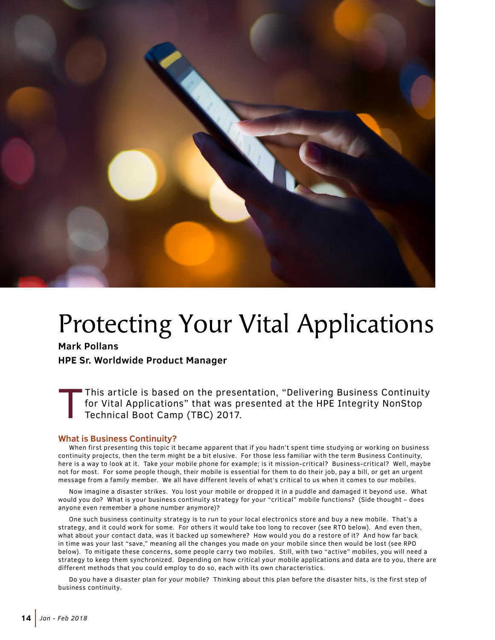

# Protecting Your Vital Applications

**Mark Pollans**

**HPE Sr. Worldwide Product Manager**

This article is based on the presentation, "Delivering Business Continuity for Vital Applications" that was presented at the HPE Integrity NonStop Technical Boot Camp (TBC) 2017.

#### **What is Business Continuity?**

When first presenting this topic it became apparent that if you hadn't spent time studying or working on business continuity projects, then the term might be a bit elusive. For those less familiar with the term Business Continuity, here is a way to look at it. Take your mobile phone for example; is it mission-critical? Business-critical? Well, maybe not for most. For some people though, their mobile is essential for them to do their job, pay a bill, or get an urgent message from a family member. We all have different levels of what's critical to us when it comes to our mobiles.

Now imagine a disaster strikes. You lost your mobile or dropped it in a puddle and damaged it beyond use. What would you do? What is your business continuity strategy for your "critical" mobile functions? (Side thought – does anyone even remember a phone number anymore)?

One such business continuity strategy is to run to your local electronics store and buy a new mobile. That's a strategy, and it could work for some. For others it would take too long to recover (see RTO below). And even then, what about your contact data, was it backed up somewhere? How would you do a restore of it? And how far back in time was your last "save," meaning all the changes you made on your mobile since then would be lost (see RPO below). To mitigate these concerns, some people carry two mobiles. Still, with two "active" mobiles, you will need a strategy to keep them synchronized. Depending on how critical your mobile applications and data are to you, there are different methods that you could employ to do so, each with its own characteristics.

Do you have a disaster plan for your mobile? Thinking about this plan before the disaster hits, is the first step of business continuity.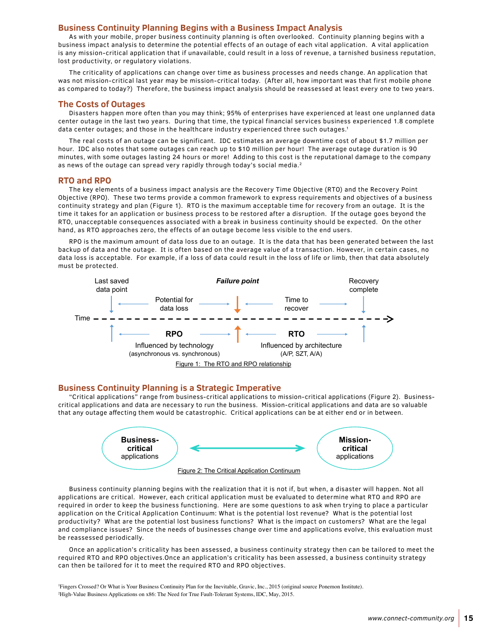#### **Business Continuity Planning Begins with a Business Impact Analysis**

As with your mobile, proper business continuity planning is often overlooked. Continuity planning begins with a business impact analysis to determine the potential effects of an outage of each vital application. A vital application is any mission-critical application that if unavailable, could result in a loss of revenue, a tarnished business reputation, lost productivity, or regulatory violations.

The criticality of applications can change over time as business processes and needs change. An application that was not mission-critical last year may be mission-critical today. (After all, how important was that first mobile phone as compared to today?) Therefore, the business impact analysis should be reassessed at least every one to two years.

#### **The Costs of Outages**

Disasters happen more often than you may think; 95% of enterprises have experienced at least one unplanned data center outage in the last two years. During that time, the typical financial services business experienced 1.8 complete data center outages; and those in the healthcare industry experienced three such outages.<sup>1</sup>

The real costs of an outage can be significant. IDC estimates an average downtime cost of about \$1.7 million per hour. IDC also notes that some outages can reach up to \$10 million per hour! The average outage duration is 90 minutes, with some outages lasting 24 hours or more! Adding to this cost is the reputational damage to the company as news of the outage can spread very rapidly through today's social media.<sup>2</sup>

#### **RTO and RPO**

The key elements of a business impact analysis are the Recovery Time Objective (RTO) and the Recovery Point Objective (RPO). These two terms provide a common framework to express requirements and objectives of a business continuity strategy and plan (Figure 1). RTO is the maximum acceptable time for recovery from an outage. It is the time it takes for an application or business process to be restored after a disruption. If the outage goes beyond the RTO, unacceptable consequences associated with a break in business continuity should be expected. On the other hand, as RTO approaches zero, the effects of an outage become less visible to the end users.

RPO is the maximum amount of data loss due to an outage. It is the data that has been generated between the last backup of data and the outage. It is often based on the average value of a transaction. However, in certain cases, no data loss is acceptable. For example, if a loss of data could result in the loss of life or limb, then that data absolutely must be protected.



#### **Business Continuity Planning is a Strategic Imperative**

"Critical applications" range from business-critical applications to mission-critical applications (Figure 2). Businesscritical applications and data are necessary to run the business. Mission-critical applications and data are so valuable that any outage affecting them would be catastrophic. Critical applications can be at either end or in between.



Business continuity planning begins with the realization that it is not if, but when, a disaster will happen. Not all applications are critical. However, each critical application must be evaluated to determine what RTO and RPO are required in order to keep the business functioning. Here are some questions to ask when trying to place a particular application on the Critical Application Continuum: What is the potential lost revenue? What is the potential lost productivity? What are the potential lost business functions? What is the impact on customers? What are the legal and compliance issues? Since the needs of businesses change over time and applications evolve, this evaluation must be reassessed periodically.

Once an application's criticality has been assessed, a business continuity strategy then can be tailored to meet the required RTO and RPO objectives.Once an application's criticality has been assessed, a business continuity strategy can then be tailored for it to meet the required RTO and RPO objectives.

1 Fingers Crossed? Or What is Your Business Continuity Plan for the Inevitable, Gravic, Inc., 2015 (original source Ponemon Institute). 2 High-Value Business Applications on x86: The Need for True Fault-Tolerant Systems, IDC, May, 2015.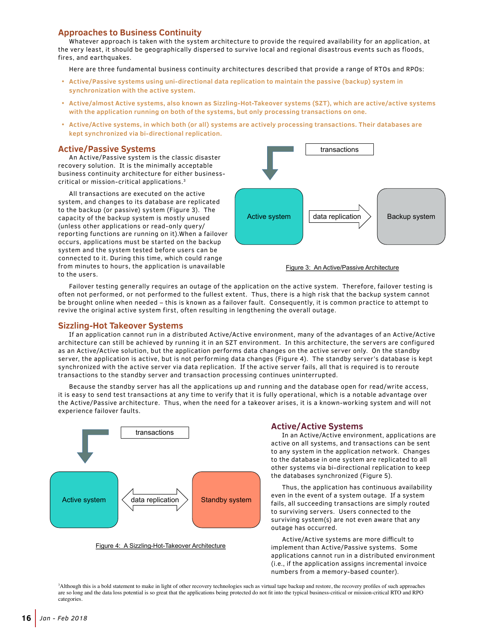### **Approaches to Business Continuity**

Whatever approach is taken with the system architecture to provide the required availability for an application, at the very least, it should be geographically dispersed to survive local and regional disastrous events such as floods, fires, and earthquakes.

Here are three fundamental business continuity architectures described that provide a range of RTOs and RPOs:

- **• Active/Passive systems using uni-directional data replication to maintain the passive (backup) system in synchronization with the active system.**
- **• Active/almost Active systems, also known as Sizzling-Hot-Takeover systems (SZT), which are active/active systems with the application running on both of the systems, but only processing transactions on one.**
- **• Active/Active systems, in which both (or all) systems are actively processing transactions. Their databases are kept synchronized via bi-directional replication.**

#### **Active/Passive Systems**

An Active/Passive system is the classic disaster recovery solution. It is the minimally acceptable business continuity architecture for either businesscritical or mission-critical applications.3

All transactions are executed on the active system, and changes to its database are replicated to the backup (or passive) system (Figure 3). The capacity of the backup system is mostly unused (unless other applications or read-only query/ reporting functions are running on it).When a failover occurs, applications must be started on the backup system and the system tested before users can be connected to it. During this time, which could range from minutes to hours, the application is unavailable to the users.





Failover testing generally requires an outage of the application on the active system. Therefore, failover testing is often not performed, or not performed to the fullest extent. Thus, there is a high risk that the backup system cannot be brought online when needed – this is known as a failover fault. Consequently, it is common practice to attempt to revive the original active system first, often resulting in lengthening the overall outage.

#### **Sizzling-Hot Takeover Systems**

If an application cannot run in a distributed Active/Active environment, many of the advantages of an Active/Active architecture can still be achieved by running it in an SZT environment. In this architecture, the servers are configured as an Active/Active solution, but the application performs data changes on the active server only. On the standby server, the application is active, but is not performing data changes (Figure 4). The standby server's database is kept synchronized with the active server via data replication. If the active server fails, all that is required is to reroute transactions to the standby server and transaction processing continues uninterrupted.

Because the standby server has all the applications up and running and the database open for read/write access, it is easy to send test transactions at any time to verify that it is fully operational, which is a notable advantage over the Active/Passive architecture. Thus, when the need for a takeover arises, it is a known-working system and will not experience failover faults.



Figure 4: A Sizzling-Hot-Takeover Architecture

#### **Active/Active Systems**

In an Active/Active environment, applications are active on all systems, and transactions can be sent to any system in the application network. Changes to the database in one system are replicated to all other systems via bi-directional replication to keep the databases synchronized (Figure 5).

Thus, the application has continuous availability even in the event of a system outage. If a system fails, all succeeding transactions are simply routed to surviving servers. Users connected to the surviving system(s) are not even aware that any outage has occurred.

Active/Active systems are more difficult to implement than Active/Passive systems. Some applications cannot run in a distributed environment (i.e., if the application assigns incremental invoice numbers from a memory-based counter).

3 Although this is a bold statement to make in light of other recovery technologies such as virtual tape backup and restore, the recovery profiles of such approaches are so long and the data loss potential is so great that the applications being protected do not fit into the typical business-critical or mission-critical RTO and RPO categories.